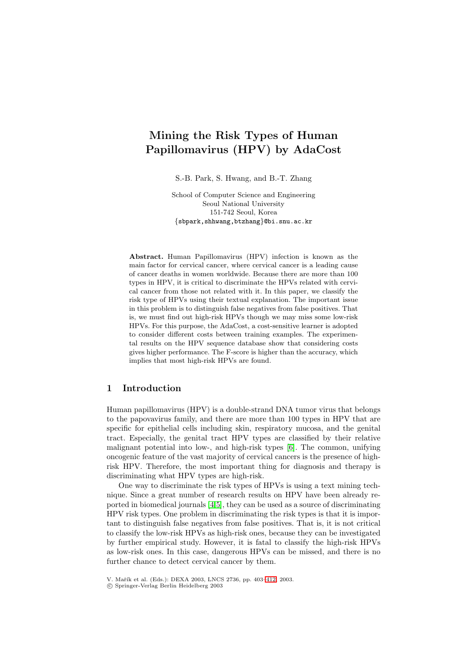# **Mining the Risk Types of Human Papillomavirus (HPV) by AdaCost**

S.-B. Park, S. Hwang, and B.-T. Zhang

School of Computer Science and Engineering Seoul National University 151-742 Seoul, Korea {sbpark,shhwang,btzhang}@bi.snu.ac.kr

**Abstract.** Human Papillomavirus (HPV) infection is known as the main factor for cervical cancer, where cervical cancer is a leading cause of cancer deaths in women worldwide. Because there are more than 100 types in HPV, it is critical to discriminate the HPVs related with cervical cancer from those not related with it. In this paper, we classify the risk type of HPVs using their textual explanation. The important issue in this problem is to distinguish false negatives from false positives. That is, we must find out high-risk HPVs though we may miss some low-risk HPVs. For this purpose, the AdaCost, a cost-sensitive learner is adopted to consider different costs between training examples. The experimental results on the HPV sequence database show that considering costs gives higher performance. The F-score is higher than the accuracy, which implies that most high-risk HPVs are found.

### **1 Introduction**

Human papillomavirus (HPV) is a double-strand DNA tumor virus that belongs to the papovavirus family, and there are more than 100 types in HPV that are specific for epithelial cells including skin, respiratory mucosa, and the genital tract. Especially, the genital tract HPV types are classified by their relative malignant potential into low-, and high-risk types [\[6\]](#page-9-0). The common, unifying oncogenic feature of the vast majority of cervical cancers is the presence of highrisk HPV. Therefore, the most important thing for diagnosis and therapy is discriminating what HPV types are high-risk.

One way to discriminate the risk types of HPVs is using a text mining technique. Since a great number of research results on HPV have been already reported in biomedical journals [\[4,5\]](#page-9-0), they can be used as a source of discriminating HPV risk types. One problem in discriminating the risk types is that it is important to distinguish false negatives from false positives. That is, it is not critical to classify the low-risk HPVs as high-risk ones, because they can be investigated by further empirical study. However, it is fatal to classify the high-risk HPVs as low-risk ones. In this case, dangerous HPVs can be missed, and there is no further chance to detect cervical cancer by them.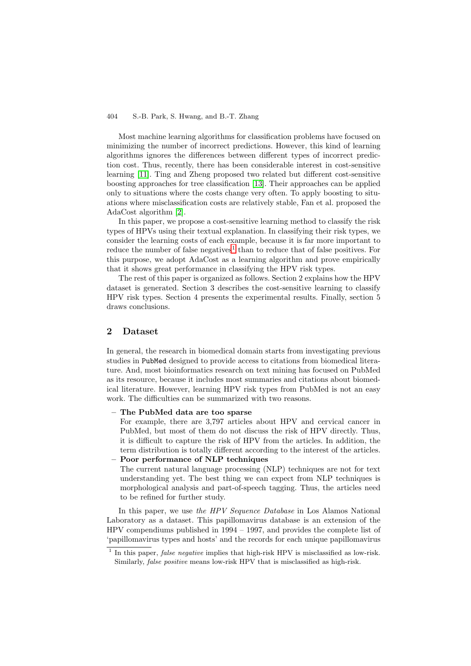Most machine learning algorithms for classification problems have focused on minimizing the number of incorrect predictions. However, this kind of learning algorithms ignores the differences between different types of incorrect prediction cost. Thus, recently, there has been considerable interest in cost-sensitive learning [\[11\]](#page-9-0). Ting and Zheng proposed two related but different cost-sensitive boosting approaches for tree classification [\[13\]](#page-9-0). Their approaches can be applied only to situations where the costs change very often. To apply boosting to situations where misclassification costs are relatively stable, Fan et al. proposed the AdaCost algorithm [\[2\]](#page-9-0).

In this paper, we propose a cost-sensitive learning method to classify the risk types of HPVs using their textual explanation. In classifying their risk types, we consider the learning costs of each example, because it is far more important to reduce the number of false negatives<sup>1</sup> than to reduce that of false positives. For this purpose, we adopt AdaCost as a learning algorithm and prove empirically that it shows great performance in classifying the HPV risk types.

The rest of this paper is organized as follows. Section 2 explains how the HPV dataset is generated. Section 3 describes the cost-sensitive learning to classify HPV risk types. Section 4 presents the experimental results. Finally, section 5 draws conclusions.

## **2 Dataset**

In general, the research in biomedical domain starts from investigating previous studies in PubMed designed to provide access to citations from biomedical literature. And, most bioinformatics research on text mining has focused on PubMed as its resource, because it includes most summaries and citations about biomedical literature. However, learning HPV risk types from PubMed is not an easy work. The difficulties can be summarized with two reasons.

**– The PubMed data are too sparse**

For example, there are 3,797 articles about HPV and cervical cancer in PubMed, but most of them do not discuss the risk of HPV directly. Thus, it is difficult to capture the risk of HPV from the articles. In addition, the term distribution is totally different according to the interest of the articles.

### **– Poor performance of NLP techniques**

The current natural language processing (NLP) techniques are not for text understanding yet. The best thing we can expect from NLP techniques is morphological analysis and part-of-speech tagging. Thus, the articles need to be refined for further study.

In this paper, we use *the HPV Sequence Database* in Los Alamos National Laboratory as a dataset. This papillomavirus database is an extension of the HPV compendiums published in 1994 – 1997, and provides the complete list of 'papillomavirus types and hosts' and the records for each unique papillomavirus

 $1$  In this paper, *false negative* implies that high-risk HPV is misclassified as low-risk. Similarly, false positive means low-risk HPV that is misclassified as high-risk.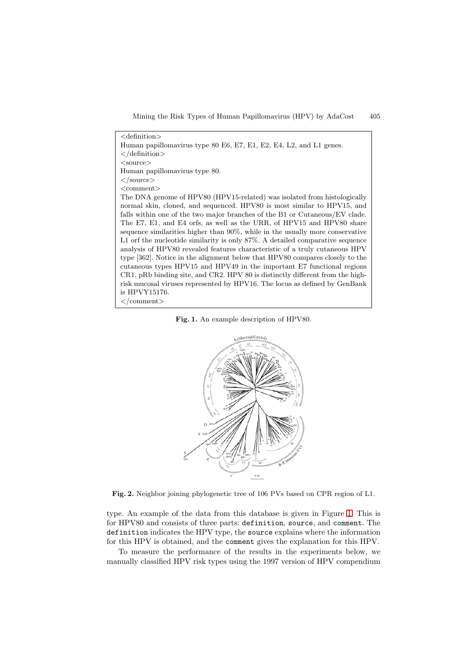<span id="page-2-0"></span><definition> Human papillomavirus type 80 E6, E7, E1, E2, E4, L2, and L1 genes. </definition> <source> Human papillomavirus type 80.  $\langle$ source $\rangle$ <comment> The DNA genome of HPV80 (HPV15-related) was isolated from histologically normal skin, cloned, and sequenced. HPV80 is most similar to HPV15, and falls within one of the two major branches of the B1 or Cutaneous/EV clade. The E7, E1, and E4 orfs, as well as the URR, of HPV15 and HPV80 share sequence similarities higher than 90%, while in the usually more conservative L1 orf the nucleotide similarity is only 87%. A detailed comparative sequence analysis of HPV80 revealed features characteristic of a truly cutaneous HPV type [362]. Notice in the alignment below that HPV80 compares closely to the cutaneous types HPV15 and HPV49 in the important E7 functional regions CR1, pRb binding site, and CR2. HPV 80 is distinctly different from the highrisk mucosal viruses represented by HPV16. The locus as defined by GenBank is HPVY15176. </comment>

**Fig. 1.** An example description of HPV80.



**Fig. 2.** Neighbor joining phylogenetic tree of 106 PVs based on CPR region of L1.

type. An example of the data from this database is given in Figure 1. This is for HPV80 and consists of three parts: definition, source, and comment. The definition indicates the HPV type, the source explains where the information for this HPV is obtained, and the comment gives the explanation for this HPV.

To measure the performance of the results in the experiments below, we manually classified HPV risk types using the 1997 version of HPV compendium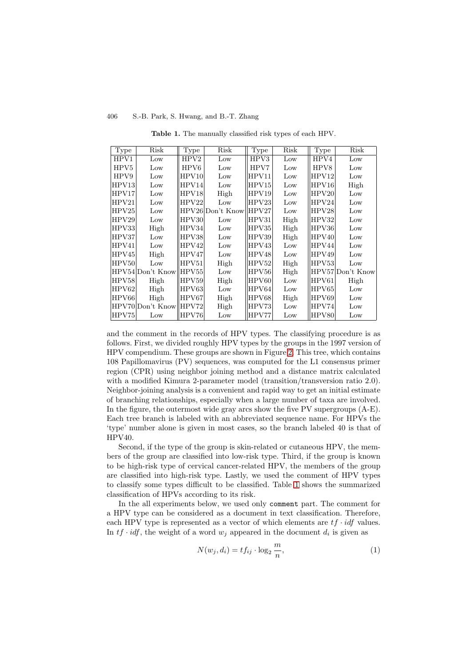<span id="page-3-0"></span>

| Type  | Risk             | Type  | Risk             | Type  | Risk | <b>Type</b> | Risk             |
|-------|------------------|-------|------------------|-------|------|-------------|------------------|
| HPV1  | Low              | HPV2  | Low              | HPV3  | Low  | HPV4        | Low              |
| HPV5  | Low              | HPV6  | Low              | HPV7  | Low  | HPV8        | Low              |
| HPV9  | Low              | HPV10 | Low              | HPV11 | Low  | HPV12       | Low              |
| HPV13 | Low              | HPV14 | Low              | HPV15 | Low  | HPV16       | High             |
| HPV17 | Low              | HPV18 | High             | HPV19 | Low  | HPV20       | Low              |
| HPV21 | Low              | HPV22 | Low              | HPV23 | Low  | HPV24       | Low              |
| HPV25 | Low              |       | HPV26 Don't Know | HPV27 | Low  | HPV28       | Low              |
| HPV29 | Low              | HPV30 | Low              | HPV31 | High | HPV32       | Low              |
| HPV33 | High             | HPV34 | Low              | HPV35 | High | HPV36       | Low              |
| HPV37 | Low              | HPV38 | Low              | HPV39 | High | HPV40       | Low              |
| HPV41 | Low              | HPV42 | Low              | HPV43 | Low  | HPV44       | Low              |
| HPV45 | High             | HPV47 | Low              | HPV48 | Low  | HPV49       | Low              |
| HPV50 | Low              | HPV51 | High             | HPV52 | High | HPV53       | Low              |
|       | HPV54 Don't Know | HPV55 | Low              | HPV56 | High |             | HPV57 Don't Know |
| HPV58 | High             | HPV59 | High             | HPV60 | Low  | HPV61       | High             |
| HPV62 | High             | HPV63 | Low              | HPV64 | Low  | HPV65       | Low              |
| HPV66 | High             | HPV67 | High             | HPV68 | High | HPV69       | Low              |
|       | HPV70 Don't Know | HPV72 | High             | HPV73 | Low  | HPV74       | Low              |
| HPV75 | Low              | HPV76 | Low              | HPV77 | Low  | HPV80       | Low              |

**Table 1.** The manually classified risk types of each HPV.

and the comment in the records of HPV types. The classifying procedure is as follows. First, we divided roughly HPV types by the groups in the 1997 version of HPV compendium. These groups are shown in Figure [2.](#page-2-0) This tree, which contains 108 Papillomavirus (PV) sequences, was computed for the L1 consensus primer region (CPR) using neighbor joining method and a distance matrix calculated with a modified Kimura 2-parameter model (transition/transversion ratio 2.0). Neighbor-joining analysis is a convenient and rapid way to get an initial estimate of branching relationships, especially when a large number of taxa are involved. In the figure, the outermost wide gray arcs show the five PV supergroups (A-E). Each tree branch is labeled with an abbreviated sequence name. For HPVs the 'type' number alone is given in most cases, so the branch labeled 40 is that of HPV40.

Second, if the type of the group is skin-related or cutaneous HPV, the members of the group are classified into low-risk type. Third, if the group is known to be high-risk type of cervical cancer-related HPV, the members of the group are classified into high-risk type. Lastly, we used the comment of HPV types to classify some types difficult to be classified. Table 1 shows the summarized classification of HPVs according to its risk.

In the all experiments below, we used only comment part. The comment for a HPV type can be considered as a document in text classification. Therefore, each HPV type is represented as a vector of which elements are  $tf \cdot idf$  values. In  $tf \cdot idf$ , the weight of a word  $w_i$  appeared in the document  $d_i$  is given as

$$
N(w_j, d_i) = tf_{ij} \cdot \log_2 \frac{m}{n},\tag{1}
$$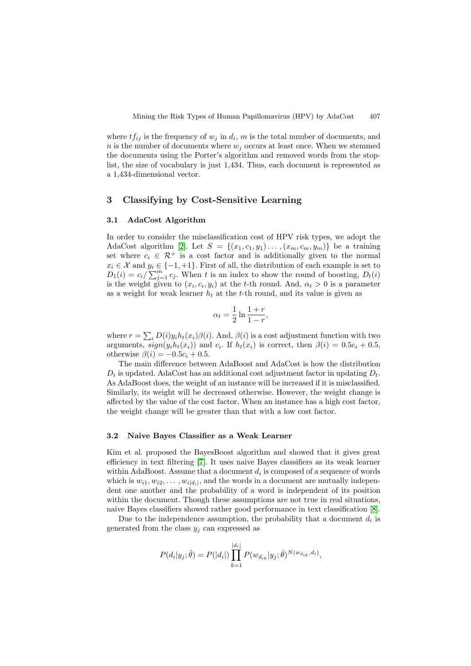where  $tf_{ij}$  is the frequency of  $w_j$  in  $d_i$ , m is the total number of documents, and n is the number of documents where  $w_i$  occurs at least once. When we stemmed the documents using the Porter's algorithm and removed words from the stoplist, the size of vocabulary is just 1,434. Thus, each document is represented as a 1,434-dimensional vector.

### **3 Classifying by Cost-Sensitive Learning**

#### **3.1 AdaCost Algorithm**

In order to consider the misclassification cost of HPV risk types, we adopt the AdaCost algorithm [\[2\]](#page-9-0). Let  $S = \{(x_1, c_1, y_1), \ldots, (x_m, c_m, y_m)\}\)$  be a training set where  $c_i \in \mathcal{R}^+$  is a cost factor and is additionally given to the normal  $x_i \in \mathcal{X}$  and  $y_i \in \{-1, +1\}$ . First of all, the distribution of each example is set to  $D_1(i) = c_i / \sum_{j=1}^m c_j$ . When t is an index to show the round of boosting,  $D_t(i)$ is the weight given to  $(x_i, c_i, y_i)$  at the t-th round. And,  $\alpha_t > 0$  is a parameter as a weight for weak learner  $h_t$  at the t-th round, and its value is given as

$$
\alpha_t = \frac{1}{2} \ln \frac{1+r}{1-r},
$$

where  $r = \sum_i D(i) y_i h_t(x_i) \beta(i)$ . And,  $\beta(i)$  is a cost adjustment function with two arguments,  $sign(y_i h_t(x_i))$  and  $c_i$ . If  $h_t(x_i)$  is correct, then  $\beta(i)=0.5c_i + 0.5$ , otherwise  $\beta(i) = -0.5c_i + 0.5$ .

The main difference between AdaBoost and AdaCost is how the distribution  $D_t$  is updated. AdaCost has an additional cost adjustment factor in updating  $D_t$ . As AdaBoost does, the weight of an instance will be increased if it is misclassified. Similarly, its weight will be decreased otherwise. However, the weight change is affected by the value of the cost factor. When an instance has a high cost factor, the weight change will be greater than that with a low cost factor.

#### **3.2 Naive Bayes Classifier as a Weak Learner**

Kim et al. proposed the BayesBoost algorithm and showed that it gives great efficiency in text filtering [\[7\]](#page-9-0). It uses naive Bayes classifiers as its weak learner within AdaBoost. Assume that a document  $d_i$  is composed of a sequence of words which is  $w_{i1}, w_{i2}, \ldots, w_{i|d_i|}$ , and the words in a document are mutually independent one another and the probability of a word is independent of its position within the document. Though these assumptions are not true in real situations, naive Bayes classifiers showed rather good performance in text classification [\[8\]](#page-9-0).

Due to the independence assumption, the probability that a document  $d_i$  is generated from the class  $y_i$  can expressed as

$$
P(d_i|y_j; \hat{\theta}) = P(|d_i|) \prod_{k=1}^{|d_i|} P(w_{d_{ik}}|y_j; \hat{\theta})^{N(w_{d_{ik}}, d_i)},
$$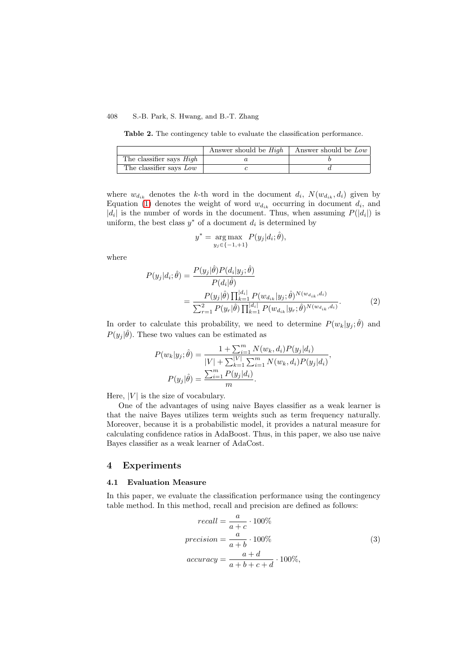<span id="page-5-0"></span>**Table 2.** The contingency table to evaluate the classification performance.

|                                 | Answer should be <i>High</i> | Answer should be <i>Low</i> |
|---------------------------------|------------------------------|-----------------------------|
| The classifier says <i>High</i> |                              |                             |
| The classifier says Low         |                              |                             |

where  $w_{d_{ik}}$  denotes the k-th word in the document  $d_i$ ,  $N(w_{d_{ik}}, d_i)$  given by Equation [\(1\)](#page-3-0) denotes the weight of word  $w_{d_{ik}}$  occurring in document  $d_i$ , and  $|d_i|$  is the number of words in the document. Thus, when assuming  $P(|d_i|)$  is uniform, the best class  $y^*$  of a document  $d_i$  is determined by

$$
y^* = \underset{y_j \in \{-1, +1\}}{\arg \max} P(y_j | d_i; \hat{\theta}),
$$

where

$$
P(y_j|d_i; \hat{\theta}) = \frac{P(y_j|\hat{\theta})P(d_i|y_j; \hat{\theta})}{P(d_i|\hat{\theta})}
$$
  
= 
$$
\frac{P(y_j|\hat{\theta})\prod_{k=1}^{|d_i|} P(w_{d_{ik}}|y_j; \hat{\theta})^{N(w_{d_{ik}}, d_i)}}{\sum_{r=1}^2 P(y_r|\hat{\theta})\prod_{k=1}^{|d_i|} P(w_{d_{ik}}|y_r; \hat{\theta})^{N(w_{d_{ik}}, d_i)}}.
$$
 (2)

In order to calculate this probability, we need to determine  $P(w_k|y_j; \hat{\theta})$  and  $P(y_j | \hat{\theta})$ . These two values can be estimated as

$$
P(w_k|y_j; \hat{\theta}) = \frac{1 + \sum_{i=1}^{m} N(w_k, d_i) P(y_j|d_i)}{|V| + \sum_{k=1}^{|V|} \sum_{i=1}^{m} N(w_k, d_i) P(y_j|d_i)},
$$

$$
P(y_j|\hat{\theta}) = \frac{\sum_{i=1}^{m} P(y_j|d_i)}{m}.
$$

Here,  $|V|$  is the size of vocabulary.

One of the advantages of using naive Bayes classifier as a weak learner is that the naive Bayes utilizes term weights such as term frequency naturally. Moreover, because it is a probabilistic model, it provides a natural measure for calculating confidence ratios in AdaBoost. Thus, in this paper, we also use naive Bayes classifier as a weak learner of AdaCost.

### **4 Experiments**

#### **4.1 Evaluation Measure**

In this paper, we evaluate the classification performance using the contingency table method. In this method, recall and precision are defined as follows:

$$
recall = \frac{a}{a+c} \cdot 100\%
$$
  
precision = 
$$
\frac{a}{a+b} \cdot 100\%
$$
  
accuracy = 
$$
\frac{a+d}{a+b+c+d} \cdot 100\%,
$$
 (3)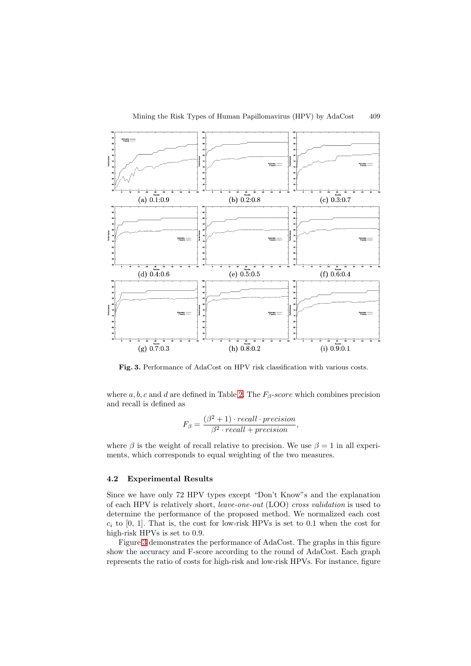

**Fig. 3.** Performance of AdaCost on HPV risk classification with various costs.

where a, b, c and d are defined in Table [2.](#page-5-0) The  $F_{\beta}$ -score which combines precision and recall is defined as

$$
F_{\beta} = \frac{(\beta^2 + 1) \cdot recall \cdot precision}{\beta^2 \cdot recall + precision},
$$

where  $\beta$  is the weight of recall relative to precision. We use  $\beta = 1$  in all experiments, which corresponds to equal weighting of the two measures.

#### **4.2 Experimental Results**

Since we have only 72 HPV types except "Don't Know"s and the explanation of each HPV is relatively short, *leave-one-out* (LOO) *cross validation* is used to determine the performance of the proposed method. We normalized each cost  $c_i$  to [0, 1]. That is, the cost for low-risk HPVs is set to 0.1 when the cost for high-risk HPVs is set to 0.9.

Figure 3 demonstrates the performance of AdaCost. The graphs in this figure show the accuracy and F-score according to the round of AdaCost. Each graph represents the ratio of costs for high-risk and low-risk HPVs. For instance, figure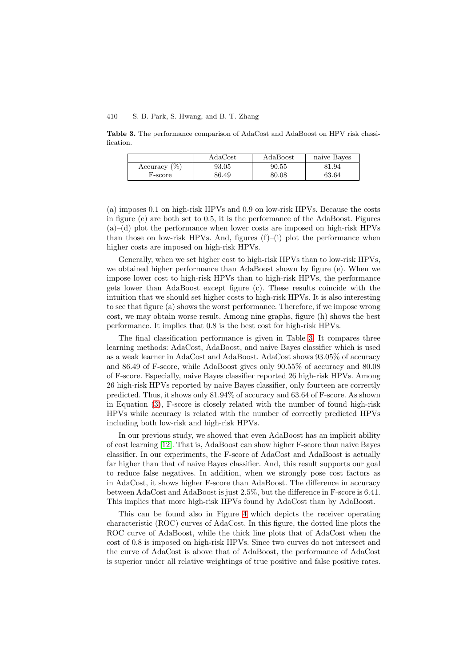|                 | $_{\rm AdaCost}$ | AdaBoost | naive Bayes |
|-----------------|------------------|----------|-------------|
| Accuracy $(\%)$ | 93.05            | 90.55    | 81.94       |
| F-score         | 86.49            | 80.08    | 63.64       |

**Table 3.** The performance comparison of AdaCost and AdaBoost on HPV risk classification.

(a) imposes 0.1 on high-risk HPVs and 0.9 on low-risk HPVs. Because the costs in figure (e) are both set to 0.5, it is the performance of the AdaBoost. Figures  $(a)$ – $(d)$  plot the performance when lower costs are imposed on high-risk HPVs than those on low-risk HPVs. And, figures  $(f)$ –(i) plot the performance when higher costs are imposed on high-risk HPVs.

Generally, when we set higher cost to high-risk HPVs than to low-risk HPVs, we obtained higher performance than AdaBoost shown by figure (e). When we impose lower cost to high-risk HPVs than to high-risk HPVs, the performance gets lower than AdaBoost except figure (c). These results coincide with the intuition that we should set higher costs to high-risk HPVs. It is also interesting to see that figure (a) shows the worst performance. Therefore, if we impose wrong cost, we may obtain worse result. Among nine graphs, figure (h) shows the best performance. It implies that 0.8 is the best cost for high-risk HPVs.

The final classification performance is given in Table 3. It compares three learning methods: AdaCost, AdaBoost, and naive Bayes classifier which is used as a weak learner in AdaCost and AdaBoost. AdaCost shows 93.05% of accuracy and 86.49 of F-score, while AdaBoost gives only 90.55% of accuracy and 80.08 of F-score. Especially, naive Bayes classifier reported 26 high-risk HPVs. Among 26 high-risk HPVs reported by naive Bayes classifier, only fourteen are correctly predicted. Thus, it shows only 81.94% of accuracy and 63.64 of F-score. As shown in Equation [\(3\)](#page-5-0), F-score is closely related with the number of found high-risk HPVs while accuracy is related with the number of correctly predicted HPVs including both low-risk and high-risk HPVs.

In our previous study, we showed that even AdaBoost has an implicit ability of cost learning [\[12\]](#page-9-0). That is, AdaBoost can show higher F-score than naive Bayes classifier. In our experiments, the F-score of AdaCost and AdaBoost is actually far higher than that of naive Bayes classifier. And, this result supports our goal to reduce false negatives. In addition, when we strongly pose cost factors as in AdaCost, it shows higher F-score than AdaBoost. The difference in accuracy between AdaCost and AdaBoost is just 2.5%, but the difference in F-score is 6.41. This implies that more high-risk HPVs found by AdaCost than by AdaBoost.

This can be found also in Figure [4](#page-8-0) which depicts the receiver operating characteristic (ROC) curves of AdaCost. In this figure, the dotted line plots the ROC curve of AdaBoost, while the thick line plots that of AdaCost when the cost of 0.8 is imposed on high-risk HPVs. Since two curves do not intersect and the curve of AdaCost is above that of AdaBoost, the performance of AdaCost is superior under all relative weightings of true positive and false positive rates.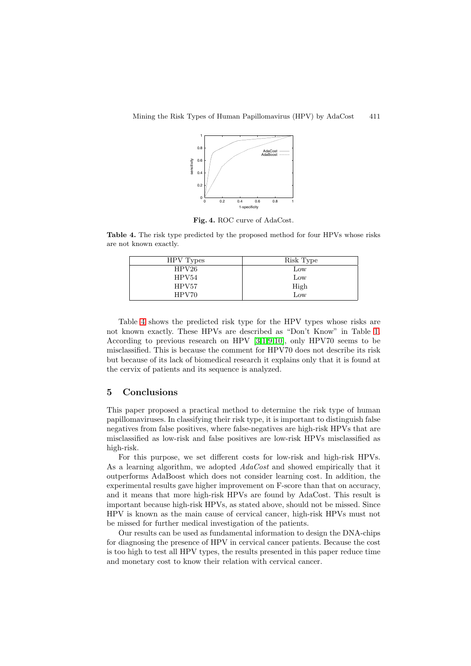<span id="page-8-0"></span>

**Fig. 4.** ROC curve of AdaCost.

**Table 4.** The risk type predicted by the proposed method for four HPVs whose risks are not known exactly.

| <b>HPV</b> Types | Risk Type       |
|------------------|-----------------|
| HPV26            | $_{\text{LOW}}$ |
| HPV54            | $_{\text{LOW}}$ |
| HPV57            | High            |
| HPV70            | Low             |

Table 4 shows the predicted risk type for the HPV types whose risks are not known exactly. These HPVs are described as "Don't Know" in Table [1.](#page-3-0) According to previous research on HPV [\[3,1,9,10\]](#page-9-0), only HPV70 seems to be misclassified. This is because the comment for HPV70 does not describe its risk but because of its lack of biomedical research it explains only that it is found at the cervix of patients and its sequence is analyzed.

### **5 Conclusions**

This paper proposed a practical method to determine the risk type of human papillomaviruses. In classifying their risk type, it is important to distinguish false negatives from false positives, where false-negatives are high-risk HPVs that are misclassified as low-risk and false positives are low-risk HPVs misclassified as high-risk.

For this purpose, we set different costs for low-risk and high-risk HPVs. As a learning algorithm, we adopted *AdaCost* and showed empirically that it outperforms AdaBoost which does not consider learning cost. In addition, the experimental results gave higher improvement on F-score than that on accuracy, and it means that more high-risk HPVs are found by AdaCost. This result is important because high-risk HPVs, as stated above, should not be missed. Since HPV is known as the main cause of cervical cancer, high-risk HPVs must not be missed for further medical investigation of the patients.

Our results can be used as fundamental information to design the DNA-chips for diagnosing the presence of HPV in cervical cancer patients. Because the cost is too high to test all HPV types, the results presented in this paper reduce time and monetary cost to know their relation with cervical cancer.